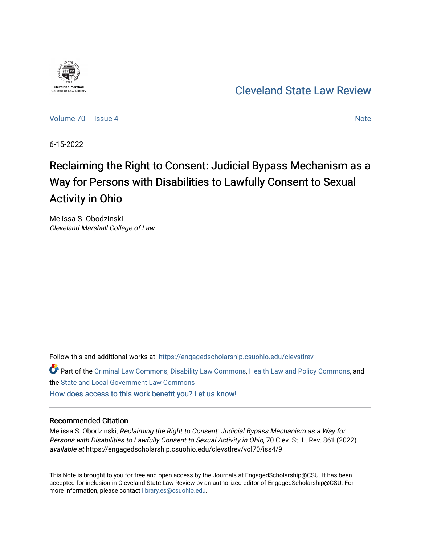

[Cleveland State Law Review](https://engagedscholarship.csuohio.edu/clevstlrev) 

[Volume 70](https://engagedscholarship.csuohio.edu/clevstlrev/vol70) | [Issue 4](https://engagedscholarship.csuohio.edu/clevstlrev/vol70/iss4) [Note](https://engagedscholarship.csuohio.edu/clevstlrev/vol70/iss4/9) Note 1 | Note 1 | Note 1 | Note 1 | Note 1 | Note 1 | Note 1 | Note 1 | Note 1 | Note

6-15-2022

# Reclaiming the Right to Consent: Judicial Bypass Mechanism as a Way for Persons with Disabilities to Lawfully Consent to Sexual Activity in Ohio

Melissa S. Obodzinski Cleveland-Marshall College of Law

Follow this and additional works at: [https://engagedscholarship.csuohio.edu/clevstlrev](https://engagedscholarship.csuohio.edu/clevstlrev?utm_source=engagedscholarship.csuohio.edu%2Fclevstlrev%2Fvol70%2Fiss4%2F9&utm_medium=PDF&utm_campaign=PDFCoverPages)

Part of the [Criminal Law Commons,](https://network.bepress.com/hgg/discipline/912?utm_source=engagedscholarship.csuohio.edu%2Fclevstlrev%2Fvol70%2Fiss4%2F9&utm_medium=PDF&utm_campaign=PDFCoverPages) [Disability Law Commons,](https://network.bepress.com/hgg/discipline/1074?utm_source=engagedscholarship.csuohio.edu%2Fclevstlrev%2Fvol70%2Fiss4%2F9&utm_medium=PDF&utm_campaign=PDFCoverPages) [Health Law and Policy Commons](https://network.bepress.com/hgg/discipline/901?utm_source=engagedscholarship.csuohio.edu%2Fclevstlrev%2Fvol70%2Fiss4%2F9&utm_medium=PDF&utm_campaign=PDFCoverPages), and the [State and Local Government Law Commons](https://network.bepress.com/hgg/discipline/879?utm_source=engagedscholarship.csuohio.edu%2Fclevstlrev%2Fvol70%2Fiss4%2F9&utm_medium=PDF&utm_campaign=PDFCoverPages) 

[How does access to this work benefit you? Let us know!](http://library.csuohio.edu/engaged/)

## Recommended Citation

Melissa S. Obodzinski, Reclaiming the Right to Consent: Judicial Bypass Mechanism as a Way for Persons with Disabilities to Lawfully Consent to Sexual Activity in Ohio, 70 Clev. St. L. Rev. 861 (2022) available at https://engagedscholarship.csuohio.edu/clevstlrev/vol70/iss4/9

This Note is brought to you for free and open access by the Journals at EngagedScholarship@CSU. It has been accepted for inclusion in Cleveland State Law Review by an authorized editor of EngagedScholarship@CSU. For more information, please contact [library.es@csuohio.edu](mailto:library.es@csuohio.edu).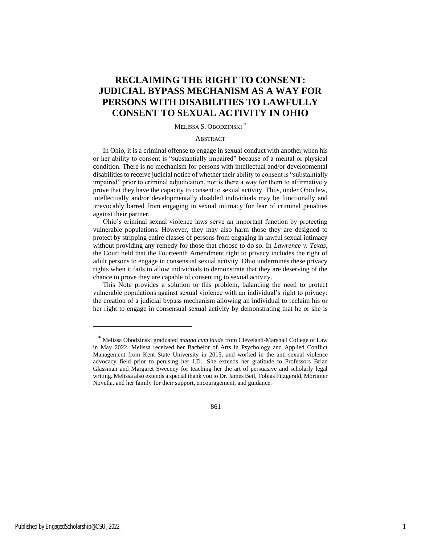# **RECLAIMING THE RIGHT TO CONSENT: JUDICIAL BYPASS MECHANISM AS A WAY FOR PERSONS WITH DISABILITIES TO LAWFULLY CONSENT TO SEXUAL ACTIVITY IN OHIO**

### MELISSA S. OBODZINSKI \*

### **ABSTRACT**

In Ohio, it is a criminal offense to engage in sexual conduct with another when his or her ability to consent is "substantially impaired" because of a mental or physical condition. There is no mechanism for persons with intellectual and/or developmental disabilities to receive judicial notice of whether their ability to consent is "substantially impaired" prior to criminal adjudication, nor is there a way for them to affirmatively prove that they have the capacity to consent to sexual activity. Thus, under Ohio law, intellectually and/or developmentally disabled individuals may be functionally and irrevocably barred from engaging in sexual intimacy for fear of criminal penalties against their partner.

Ohio's criminal sexual violence laws serve an important function by protecting vulnerable populations. However, they may also harm those they are designed to protect by stripping entire classes of persons from engaging in lawful sexual intimacy without providing any remedy for those that choose to do so. In *Lawrence v. Texas*, the Court held that the Fourteenth Amendment right to privacy includes the right of adult persons to engage in consensual sexual activity. Ohio undermines these privacy rights when it fails to allow individuals to demonstrate that they are deserving of the chance to prove they are capable of consenting to sexual activity.

This Note provides a solution to this problem, balancing the need to protect vulnerable populations against sexual violence with an individual's right to privacy: the creation of a judicial bypass mechanism allowing an individual to reclaim his or her right to engage in consensual sexual activity by demonstrating that he or she is

861

<sup>\*</sup> Melissa Obodzinski graduated *magna cum laude* from Cleveland-Marshall College of Law in May 2022. Melissa received her Bachelor of Arts in Psychology and Applied Conflict Management from Kent State University in 2015, and worked in the anti-sexual violence advocacy field prior to perusing her J.D.. She extends her gratitude to Professors Brian Glassman and Margaret Sweeney for teaching her the art of persuasive and scholarly legal writing. Melissa also extends a special thank you to Dr. James Beil, Tobias Fitzgerald, Mortimer Novella, and her family for their support, encouragement, and guidance.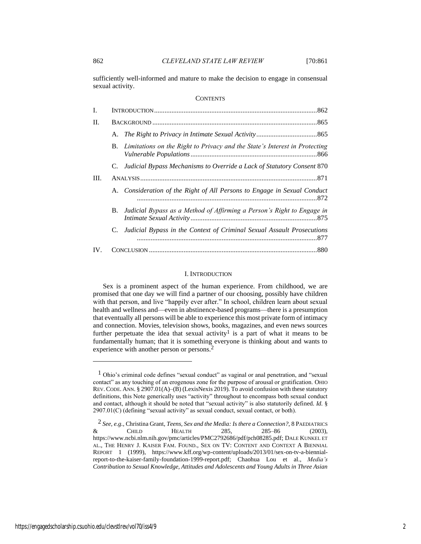sufficiently well-informed and mature to make the decision to engage in consensual sexual activity.

#### **CONTENTS**

| I.       |    |                                                                               |  |
|----------|----|-------------------------------------------------------------------------------|--|
| Π.       |    |                                                                               |  |
|          |    |                                                                               |  |
|          |    | B. Limitations on the Right to Privacy and the State's Interest in Protecting |  |
|          |    | C. Judicial Bypass Mechanisms to Override a Lack of Statutory Consent 870     |  |
| Ш.       |    |                                                                               |  |
|          |    | A. Consideration of the Right of All Persons to Engage in Sexual Conduct      |  |
|          | B. | Judicial Bypass as a Method of Affirming a Person's Right to Engage in        |  |
|          | C. | Judicial Bypass in the Context of Criminal Sexual Assault Prosecutions        |  |
| $IV_{-}$ |    |                                                                               |  |

#### I. INTRODUCTION

Sex is a prominent aspect of the human experience. From childhood, we are promised that one day we will find a partner of our choosing, possibly have children with that person, and live "happily ever after." In school, children learn about sexual health and wellness and—even in abstinence-based programs—there is a presumption that eventually all persons will be able to experience this most private form of intimacy and connection. Movies, television shows, books, magazines, and even news sources further perpetuate the idea that sexual activity<sup>1</sup> is a part of what it means to be fundamentally human; that it is something everyone is thinking about and wants to experience with another person or persons.<sup>2</sup>

<sup>1</sup> Ohio's criminal code defines "sexual conduct" as vaginal or anal penetration, and "sexual contact" as any touching of an erogenous zone for the purpose of arousal or gratification. OHIO REV.CODE. ANN. § 2907.01(A)–(B) (LexisNexis 2019). To avoid confusion with these statutory definitions, this Note generically uses "activity" throughout to encompass both sexual conduct and contact, although it should be noted that "sexual activity" is also statutorily defined. *Id.* § 2907.01(C) (defining "sexual activity" as sexual conduct, sexual contact, or both).

<sup>2</sup> *See, e.g.*, Christina Grant, *Teens, Sex and the Media: Is there a Connection?*, 8 PAEDIATRICS & CHILD HEALTH 285, 285–86 (2003), https://www.ncbi.nlm.nih.gov/pmc/articles/PMC2792686/pdf/pch08285.pdf; DALE KUNKEL ET AL., THE HENRY J. KAISER FAM. FOUND., SEX ON TV: CONTENT AND CONTEXT A BIENNIAL REPORT 1 (1999), https://www.kff.org/wp-content/uploads/2013/01/sex-on-tv-a-biennialreport-to-the-kaiser-family-foundation-1999-report.pdf; Chaohua Lou et al., *Media's Contribution to Sexual Knowledge, Attitudes and Adolescents and Young Adults in Three Asian*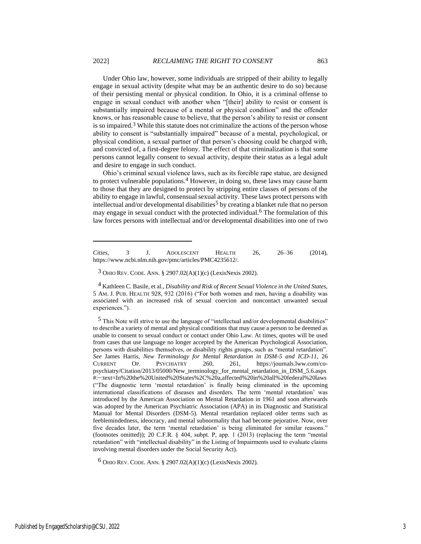Under Ohio law, however, some individuals are stripped of their ability to legally engage in sexual activity (despite what may be an authentic desire to do so) because of their persisting mental or physical condition. In Ohio, it is a criminal offense to engage in sexual conduct with another when "[their] ability to resist or consent is substantially impaired because of a mental or physical condition" and the offender knows, or has reasonable cause to believe, that the person's ability to resist or consent is so impaired.<sup>3</sup> While this statute does not criminalize the actions of the person whose ability to consent is "substantially impaired" because of a mental, psychological, or physical condition, a sexual partner of that person's choosing could be charged with, and convicted of, a first-degree felony. The effect of that criminalization is that some persons cannot legally consent to sexual activity, despite their status as a legal adult and desire to engage in such conduct.

Ohio's criminal sexual violence laws, such as its forcible rape statue, are designed to protect vulnerable populations.<sup>4</sup> However, in doing so, these laws may cause harm to those that they are designed to protect by stripping entire classes of persons of the ability to engage in lawful, consensual sexual activity. These laws protect persons with intellectual and/or developmental disabilities<sup>5</sup> by creating a blanket rule that no person may engage in sexual conduct with the protected individual.6 The formulation of this law forces persons with intellectual and/or developmental disabilities into one of two

4 Kathleen C. Basile, et al., *Disability and Risk of Recent Sexual Violence in the United States,*  5 AM. J. PUB. HEALTH 928, 932 (2016) ("For both women and men, having a disability was associated with an increased risk of sexual coercion and noncontact unwanted sexual experiences.").

 $6$  OHIO REV. CODE. ANN. § 2907.02(A)(1)(c) (LexisNexis 2002).

*Cities*, 3 J. ADOLESCENT HEALTH 26, 26–36 (2014), https://www.ncbi.nlm.nih.gov/pmc/articles/PMC4235612/.

<sup>3</sup> OHIO REV. CODE. ANN. § 2907.02(A)(1)(c) (LexisNexis 2002).

 $<sup>5</sup>$  This Note will strive to use the language of "intellectual and/or developmental disabilities"</sup> to describe a variety of mental and physical conditions that may cause a person to be deemed as unable to consent to sexual conduct or contact under Ohio Law. At times, quotes will be used from cases that use language no longer accepted by the American Psychological Association, persons with disabilities themselves, or disability rights groups, such as "mental retardation". *See* James Harris, *New Terminology for Mental Retardation in DSM-5 and ICD-11*, 26 CURRENT OP. PSYCHIATRY 260, 261, https://journals.lww.com/copsychiatry/Citation/2013/05000/New\_terminology\_for\_mental\_retardation\_in\_DSM\_5.6.aspx #:~:text=In%20the%20United%20States%2C%20a,affected%20in%20all%20federal%20laws ("The diagnostic term 'mental retardation' is finally being eliminated in the upcoming international classifications of diseases and disorders. The term 'mental retardation' was introduced by the American Association on Mental Retardation in 1961 and soon afterwards was adopted by the American Psychiatric Association (APA) in its Diagnostic and Statistical Manual for Mental Disorders (DSM-5). Mental retardation replaced older terms such as feeblemindedness, ideocracy, and mental subnormality that had become pejorative. Now, over five decades later, the term 'mental retardation' is being eliminated for similar reasons." (footnotes omitted)); 20 C.F.R. § 404, subpt. P, app. 1 (2013) (replacing the term "mental retardation" with "intellectual disability" in the Listing of Impairments used to evaluate claims involving mental disorders under the Social Security Act).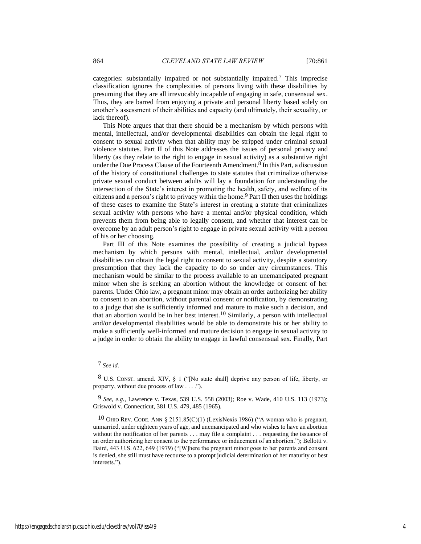categories: substantially impaired or not substantially impaired.7 This imprecise classification ignores the complexities of persons living with these disabilities by presuming that they are all irrevocably incapable of engaging in safe, consensual sex. Thus, they are barred from enjoying a private and personal liberty based solely on another's assessment of their abilities and capacity (and ultimately, their sexuality, or lack thereof).

This Note argues that that there should be a mechanism by which persons with mental, intellectual, and/or developmental disabilities can obtain the legal right to consent to sexual activity when that ability may be stripped under criminal sexual violence statutes. Part II of this Note addresses the issues of personal privacy and liberty (as they relate to the right to engage in sexual activity) as a substantive right under the Due Process Clause of the Fourteenth Amendment.8 In this Part, a discussion of the history of constitutional challenges to state statutes that criminalize otherwise private sexual conduct between adults will lay a foundation for understanding the intersection of the State's interest in promoting the health, safety, and welfare of its citizens and a person's right to privacy within the home.9 Part II then uses the holdings of these cases to examine the State's interest in creating a statute that criminalizes sexual activity with persons who have a mental and/or physical condition, which prevents them from being able to legally consent, and whether that interest can be overcome by an adult person's right to engage in private sexual activity with a person of his or her choosing.

Part III of this Note examines the possibility of creating a judicial bypass mechanism by which persons with mental, intellectual, and/or developmental disabilities can obtain the legal right to consent to sexual activity, despite a statutory presumption that they lack the capacity to do so under any circumstances. This mechanism would be similar to the process available to an unemancipated pregnant minor when she is seeking an abortion without the knowledge or consent of her parents. Under Ohio law, a pregnant minor may obtain an order authorizing her ability to consent to an abortion, without parental consent or notification, by demonstrating to a judge that she is sufficiently informed and mature to make such a decision, and that an abortion would be in her best interest.10 Similarly, a person with intellectual and/or developmental disabilities would be able to demonstrate his or her ability to make a sufficiently well-informed and mature decision to engage in sexual activity to a judge in order to obtain the ability to engage in lawful consensual sex. Finally, Part

<sup>7</sup> *See id.*

<sup>8</sup> U.S. CONST. amend. XIV, § 1 ("[No state shall] deprive any person of life, liberty, or property, without due process of law . . . .").

<sup>9</sup> *See, e.g.*, Lawrence v. Texas, 539 U.S. 558 (2003); Roe v. Wade, 410 U.S. 113 (1973); Griswold v. Connecticut, 381 U.S. 479, 485 (1965).

<sup>10</sup> OHIO REV. CODE. ANN § 2151.85(C)(1) (LexisNexis 1986) ("A woman who is pregnant, unmarried, under eighteen years of age, and unemancipated and who wishes to have an abortion without the notification of her parents . . . may file a complaint . . . requesting the issuance of an order authorizing her consent to the performance or inducement of an abortion."); Bellotti v. Baird, 443 U.S. 622, 649 (1979) ("[W]here the pregnant minor goes to her parents and consent is denied, she still must have recourse to a prompt judicial determination of her maturity or best interests.").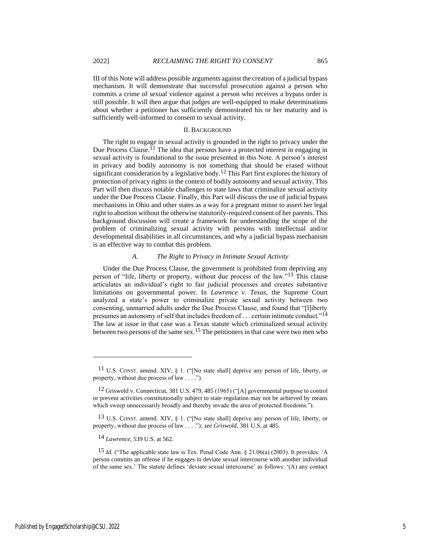III of this Note will address possible arguments against the creation of a judicial bypass mechanism. It will demonstrate that successful prosecution against a person who commits a crime of sexual violence against a person who receives a bypass order is still possible. It will then argue that judges are well-equipped to make determinations about whether a petitioner has sufficiently demonstrated his or her maturity and is sufficiently well-informed to consent to sexual activity.

#### II. BACKGROUND

The right to engage in sexual activity is grounded in the right to privacy under the Due Process Clause.<sup>11</sup> The idea that persons have a protected interest in engaging in sexual activity is foundational to the issue presented in this Note. A person's interest in privacy and bodily autonomy is not something that should be erased without significant consideration by a legislative body.12 This Part first explores the history of protection of privacy rights in the context of bodily autonomy and sexual activity. This Part will then discuss notable challenges to state laws that criminalize sexual activity under the Due Process Clause. Finally, this Part will discuss the use of judicial bypass mechanisms in Ohio and other states as a way for a pregnant minor to assert her legal right to abortion without the otherwise statutorily-required consent of her parents. This background discussion will create a framework for understanding the scope of the problem of criminalizing sexual activity with persons with intellectual and/or developmental disabilities in all circumstances, and why a judicial bypass mechanism is an effective way to combat this problem.

#### *A. The Right to Privacy in Intimate Sexual Activity*

Under the Due Process Clause, the government is prohibited from depriving any person of "life, liberty or property, without due process of the law."13 This clause articulates an individual's right to fair judicial processes and creates substantive limitations on governmental power. In *Lawrence v. Texas*, the Supreme Court analyzed a state's power to criminalize private sexual activity between two consenting, unmarried adults under the Due Process Clause, and found that "[l]iberty presumes an autonomy of self that includes freedom of . . . certain intimate conduct."14 The law at issue in that case was a Texas statute which criminalized sexual activity between two persons of the same sex.<sup>15</sup> The petitioners in that case were two men who

<sup>11</sup> U.S. CONST. amend. XIV, § 1. ("[No state shall] deprive any person of life, liberty, or property, without due process of law . . . .").

<sup>12</sup> Griswold v. Connecticut, 381 U.S. 479, 485 (1965) ("[A] governmental purpose to control or prevent activities constitutionally subject to state regulation may not be achieved by means which sweep unnecessarily broadly and thereby invade the area of protected freedoms.").

<sup>&</sup>lt;sup>13</sup> U.S. CONST. amend. XIV, § 1. ("[No state shall] deprive any person of life, liberty, or property, without due process of law . . . ."); *see Griswold*, 381 U.S. at 485.

<sup>14</sup> *Lawrence*, 539 U.S. at 562.

<sup>15</sup> *Id.* ("The applicable state law is Tex. Penal Code Ann. § 21.06(a) (2003). It provides: 'A person commits an offense if he engages in deviate sexual intercourse with another individual of the same sex.' The statute defines 'deviate sexual intercourse' as follows: '(A) any contact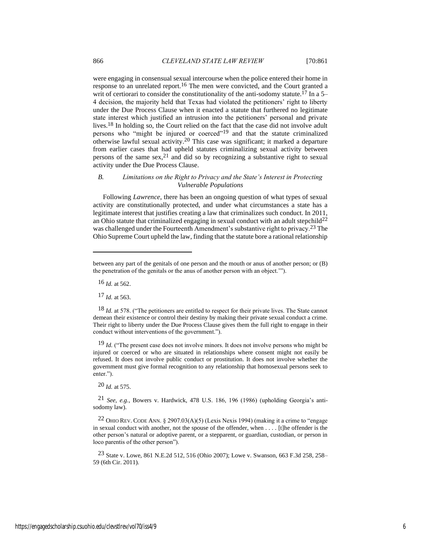were engaging in consensual sexual intercourse when the police entered their home in response to an unrelated report.<sup>16</sup> The men were convicted, and the Court granted a writ of certiorari to consider the constitutionality of the anti-sodomy statute.<sup>17</sup> In a 5– 4 decision, the majority held that Texas had violated the petitioners' right to liberty under the Due Process Clause when it enacted a statute that furthered no legitimate state interest which justified an intrusion into the petitioners' personal and private lives.18 In holding so, the Court relied on the fact that the case did not involve adult persons who "might be injured or coerced"<sup>19</sup> and that the statute criminalized otherwise lawful sexual activity.20 This case was significant; it marked a departure from earlier cases that had upheld statutes criminalizing sexual activity between persons of the same  $sex, <sup>21</sup>$  and did so by recognizing a substantive right to sexual activity under the Due Process Clause.

#### *B. Limitations on the Right to Privacy and the State's Interest in Protecting Vulnerable Populations*

Following *Lawrence*, there has been an ongoing question of what types of sexual activity are constitutionally protected, and under what circumstances a state has a legitimate interest that justifies creating a law that criminalizes such conduct. In 2011, an Ohio statute that criminalized engaging in sexual conduct with an adult stepchild<sup>22</sup> was challenged under the Fourteenth Amendment's substantive right to privacy.<sup>23</sup> The Ohio Supreme Court upheld the law, finding that the statute bore a rational relationship

16 *Id.* at 562.

17 *Id.* at 563.

20 *Id.* at 575.

21 *See, e.g.*, Bowers v. Hardwick, 478 U.S. 186, 196 (1986) (upholding Georgia's antisodomy law).

<sup>22</sup> OHIO REV. CODE ANN. § 2907.03(A)(5) (Lexis Nexis 1994) (making it a crime to "engage in sexual conduct with another, not the spouse of the offender, when . . . . [t]he offender is the other person's natural or adoptive parent, or a stepparent, or guardian, custodian, or person in loco parentis of the other person").

23 State v. Lowe, 861 N.E.2d 512, 516 (Ohio 2007); Lowe v. Swanson, 663 F.3d 258, 258– 59 (6th Cir. 2011).

between any part of the genitals of one person and the mouth or anus of another person; or (B) the penetration of the genitals or the anus of another person with an object.'").

<sup>18</sup> *Id.* at 578. ("The petitioners are entitled to respect for their private lives. The State cannot demean their existence or control their destiny by making their private sexual conduct a crime. Their right to liberty under the Due Process Clause gives them the full right to engage in their conduct without interventions of the government.").

<sup>&</sup>lt;sup>19</sup> *Id.* ("The present case does not involve minors. It does not involve persons who might be injured or coerced or who are situated in relationships where consent might not easily be refused. It does not involve public conduct or prostitution. It does not involve whether the government must give formal recognition to any relationship that homosexual persons seek to enter.").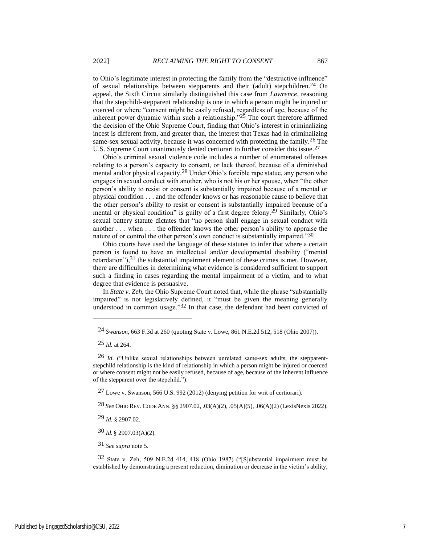to Ohio's legitimate interest in protecting the family from the "destructive influence" of sexual relationships between stepparents and their (adult) stepchildren.<sup>24</sup> On appeal, the Sixth Circuit similarly distinguished this case from *Lawrence*, reasoning that the stepchild-stepparent relationship is one in which a person might be injured or coerced or where "consent might be easily refused, regardless of age, because of the inherent power dynamic within such a relationship." $25$  The court therefore affirmed the decision of the Ohio Supreme Court, finding that Ohio's interest in criminalizing incest is different from, and greater than, the interest that Texas had in criminalizing same-sex sexual activity, because it was concerned with protecting the family.<sup>26</sup> The U.S. Supreme Court unanimously denied certiorari to further consider this issue.<sup>27</sup>

Ohio's criminal sexual violence code includes a number of enumerated offenses relating to a person's capacity to consent, or lack thereof, because of a diminished mental and/or physical capacity.28 Under Ohio's forcible rape statue, any person who engages in sexual conduct with another, who is not his or her spouse, when "the other person's ability to resist or consent is substantially impaired because of a mental or physical condition . . . and the offender knows or has reasonable cause to believe that the other person's ability to resist or consent is substantially impaired because of a mental or physical condition" is guilty of a first degree felony.<sup>29</sup> Similarly, Ohio's sexual battery statute dictates that "no person shall engage in sexual conduct with another . . . when . . . the offender knows the other person's ability to appraise the nature of or control the other person's own conduct is substantially impaired."30

Ohio courts have used the language of these statutes to infer that where a certain person is found to have an intellectual and/or developmental disability ("mental retardation"), $31$  the substantial impairment element of these crimes is met. However, there are difficulties in determining what evidence is considered sufficient to support such a finding in cases regarding the mental impairment of a victim, and to what degree that evidence is persuasive.

In *State v. Zeh*, the Ohio Supreme Court noted that, while the phrase "substantially impaired" is not legislatively defined, it "must be given the meaning generally understood in common usage."<sup>32</sup> In that case, the defendant had been convicted of

27 Lowe v. Swanson, 566 U.S. 992 (2012) (denying petition for writ of certiorari).

28 *See* OHIO REV. CODE ANN. §§ 2907.02, .03(A)(2), .05(A)(5), .06(A)(2) (LexisNexis 2022).

29 *Id.* § 2907.02.

30 *Id.* § 2907.03(A)(2).

31 *See supra* note 5.

32 State v. Zeh, 509 N.E.2d 414, 418 (Ohio 1987) ("[S]ubstantial impairment must be established by demonstrating a present reduction, diminution or decrease in the victim's ability,

<sup>24</sup> *Swanson*, 663 F.3d at 260 (quoting State v. Lowe, 861 N.E.2d 512, 518 (Ohio 2007)).

<sup>25</sup> *Id.* at 264.

<sup>26</sup> *Id.* ("Unlike sexual relationships between unrelated same-sex adults, the stepparentstepchild relationship is the kind of relationship in which a person might be injured or coerced or where consent might not be easily refused, because of age, because of the inherent influence of the stepparent over the stepchild.").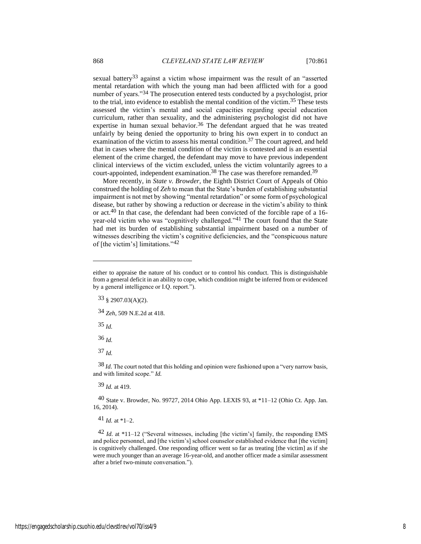sexual battery<sup>33</sup> against a victim whose impairment was the result of an "asserted mental retardation with which the young man had been afflicted with for a good number of years."34 The prosecution entered tests conducted by a psychologist, prior to the trial, into evidence to establish the mental condition of the victim.35 These tests assessed the victim's mental and social capacities regarding special education curriculum, rather than sexuality, and the administering psychologist did not have expertise in human sexual behavior.<sup>36</sup> The defendant argued that he was treated unfairly by being denied the opportunity to bring his own expert in to conduct an examination of the victim to assess his mental condition.<sup>37</sup> The court agreed, and held that in cases where the mental condition of the victim is contested and is an essential element of the crime charged, the defendant may move to have previous independent clinical interviews of the victim excluded, unless the victim voluntarily agrees to a court-appointed, independent examination.<sup>38</sup> The case was therefore remanded.<sup>39</sup>

More recently, in *State v. Browder*, the Eighth District Court of Appeals of Ohio construed the holding of *Zeh* to mean that the State's burden of establishing substantial impairment is not met by showing "mental retardation" or some form of psychological disease, but rather by showing a reduction or decrease in the victim's ability to think or act.40 In that case, the defendant had been convicted of the forcible rape of a 16 year-old victim who was "cognitively challenged."41 The court found that the State had met its burden of establishing substantial impairment based on a number of witnesses describing the victim's cognitive deficiencies, and the "conspicuous nature of [the victim's] limitations."42

34 *Zeh*, 509 N.E.2d at 418.

35 *Id.*

36 *Id.*

37 *Id.*

38 *Id.* The court noted that this holding and opinion were fashioned upon a "very narrow basis, and with limited scope." *Id.*

39 *Id.* at 419.

 $40$  State v. Browder, No. 99727, 2014 Ohio App. LEXIS 93, at  $*11-12$  (Ohio Ct. App. Jan. 16, 2014).

 $41$  *Id.* at \*1–2.

 $42$  *Id.* at \*11–12 ("Several witnesses, including [the victim's] family, the responding EMS and police personnel, and [the victim's] school counselor established evidence that [the victim] is cognitively challenged. One responding officer went so far as treating [the victim] as if she were much younger than an average 16-year-old, and another officer made a similar assessment after a brief two-minute conversation.").

either to appraise the nature of his conduct or to control his conduct. This is distinguishable from a general deficit in an ability to cope, which condition might be inferred from or evidenced by a general intelligence or I.Q. report.").

 $33 \text{ } (2907.03(A)(2)).$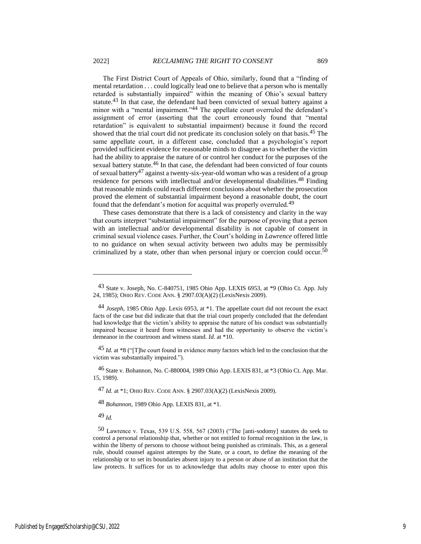The First District Court of Appeals of Ohio, similarly, found that a "finding of mental retardation . . . could logically lead one to believe that a person who is mentally retarded is substantially impaired" within the meaning of Ohio's sexual battery statute.<sup>43</sup> In that case, the defendant had been convicted of sexual battery against a minor with a "mental impairment."44 The appellate court overruled the defendant's assignment of error (asserting that the court erroneously found that "mental retardation" is equivalent to substantial impairment) because it found the record showed that the trial court did not predicate its conclusion solely on that basis.45 The same appellate court, in a different case, concluded that a psychologist's report provided sufficient evidence for reasonable minds to disagree as to whether the victim had the ability to appraise the nature of or control her conduct for the purposes of the sexual battery statute.<sup>46</sup> In that case, the defendant had been convicted of four counts of sexual battery47 against a twenty-six-year-old woman who was a resident of a group residence for persons with intellectual and/or developmental disabilities.48 Finding that reasonable minds could reach different conclusions about whether the prosecution proved the element of substantial impairment beyond a reasonable doubt, the court found that the defendant's motion for acquittal was properly overruled.<sup>49</sup>

These cases demonstrate that there is a lack of consistency and clarity in the way that courts interpret "substantial impairment" for the purpose of proving that a person with an intellectual and/or developmental disability is not capable of consent in criminal sexual violence cases. Further, the Court's holding in *Lawrence* offered little to no guidance on when sexual activity between two adults may be permissibly criminalized by a state, other than when personal injury or coercion could occur.<sup>50</sup>

45 *Id.* at \*8 ("[T]he court found in evidence *many* factors which led to the conclusion that the victim was substantially impaired.").

46 State v. Bohannon, No. C-880004, 1989 Ohio App. LEXIS 831, at \*3 (Ohio Ct. App. Mar. 15, 1989).

47 *Id.* at \*1; OHIO REV. CODE ANN. § 2907.03(A)(2) (LexisNexis 2009).

48 *Bohannon*, 1989 Ohio App. LEXIS 831, at \*1.

49 *Id.*

<sup>43</sup> State v. Joseph, No. C-840751, 1985 Ohio App. LEXIS 6953, at \*9 (Ohio Ct. App. July 24, 1985); OHIO REV. CODE ANN. § 2907.03(A)(2) (LexisNexis 2009).

<sup>44</sup> *Joseph*, 1985 Ohio App. Lexis 6953, at \*1. The appellate court did not recount the exact facts of the case but did indicate that that the trial court properly concluded that the defendant had knowledge that the victim's ability to appraise the nature of his conduct was substantially impaired because it heard from witnesses and had the opportunity to observe the victim's demeanor in the courtroom and witness stand. *Id.* at \*10.

<sup>50</sup> Lawrence v. Texas, 539 U.S. 558, 567 (2003) ("The [anti-sodomy] statutes do seek to control a personal relationship that, whether or not entitled to formal recognition in the law, is within the liberty of persons to choose without being punished as criminals. This, as a general rule, should counsel against attempts by the State, or a court, to define the meaning of the relationship or to set its boundaries absent injury to a person or abuse of an institution that the law protects. It suffices for us to acknowledge that adults may choose to enter upon this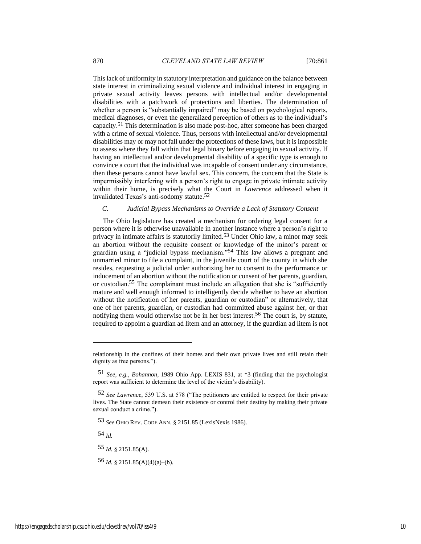This lack of uniformity in statutory interpretation and guidance on the balance between state interest in criminalizing sexual violence and individual interest in engaging in private sexual activity leaves persons with intellectual and/or developmental disabilities with a patchwork of protections and liberties. The determination of whether a person is "substantially impaired" may be based on psychological reports, medical diagnoses, or even the generalized perception of others as to the individual's capacity.51 This determination is also made post-hoc, after someone has been charged with a crime of sexual violence. Thus, persons with intellectual and/or developmental disabilities may or may not fall under the protections of these laws, but it is impossible to assess where they fall within that legal binary before engaging in sexual activity. If having an intellectual and/or developmental disability of a specific type is enough to convince a court that the individual was incapable of consent under any circumstance, then these persons cannot have lawful sex. This concern, the concern that the State is impermissibly interfering with a person's right to engage in private intimate activity within their home, is precisely what the Court in *Lawrence* addressed when it invalidated Texas's anti-sodomy statute.52

### *C. Judicial Bypass Mechanisms to Override a Lack of Statutory Consent*

The Ohio legislature has created a mechanism for ordering legal consent for a person where it is otherwise unavailable in another instance where a person's right to privacy in intimate affairs is statutorily limited.<sup>53</sup> Under Ohio law, a minor may seek an abortion without the requisite consent or knowledge of the minor's parent or guardian using a "judicial bypass mechanism."54 This law allows a pregnant and unmarried minor to file a complaint, in the juvenile court of the county in which she resides, requesting a judicial order authorizing her to consent to the performance or inducement of an abortion without the notification or consent of her parents, guardian, or custodian.55 The complainant must include an allegation that she is "sufficiently mature and well enough informed to intelligently decide whether to have an abortion without the notification of her parents, guardian or custodian" or alternatively, that one of her parents, guardian, or custodian had committed abuse against her, or that notifying them would otherwise not be in her best interest.<sup>56</sup> The court is, by statute, required to appoint a guardian ad litem and an attorney, if the guardian ad litem is not

53 *See* OHIO REV. CODE ANN. § 2151.85 (LexisNexis 1986).

54 *Id.*

55 *Id.* § 2151.85(A).

56 *Id.* § 2151.85(A)(4)(a)–(b).

relationship in the confines of their homes and their own private lives and still retain their dignity as free persons.").

<sup>51</sup> *See, e.g.*, *Bohannon*, 1989 Ohio App. LEXIS 831, at \*3 (finding that the psychologist report was sufficient to determine the level of the victim's disability).

<sup>52</sup> *See Lawrence*, 539 U.S. at 578 ("The petitioners are entitled to respect for their private lives. The State cannot demean their existence or control their destiny by making their private sexual conduct a crime.").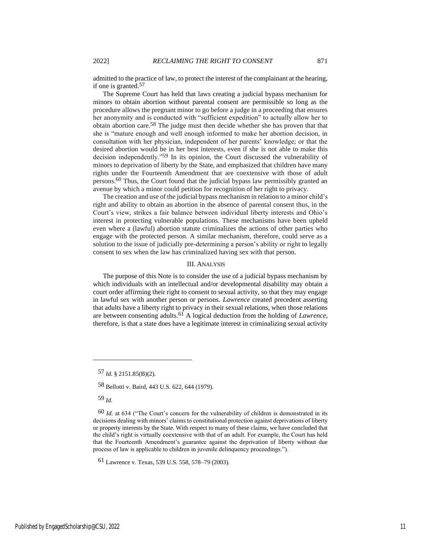admitted to the practice of law, to protect the interest of the complainant at the hearing, if one is granted.57

The Supreme Court has held that laws creating a judicial bypass mechanism for minors to obtain abortion without parental consent are permissible so long as the procedure allows the pregnant minor to go before a judge in a proceeding that ensures her anonymity and is conducted with "sufficient expedition" to actually allow her to obtain abortion care.58 The judge must then decide whether she has proven that that she is "mature enough and well enough informed to make her abortion decision, in consultation with her physician, independent of her parents' knowledge; or that the desired abortion would be in her best interests, even if she is not able to make this decision independently."59 In its opinion, the Court discussed the vulnerability of minors to deprivation of liberty by the State, and emphasized that children have many rights under the Fourteenth Amendment that are coextensive with those of adult persons.60 Thus, the Court found that the judicial bypass law permissibly granted an avenue by which a minor could petition for recognition of her right to privacy.

The creation and use of the judicial bypass mechanism in relation to a minor child's right and ability to obtain an abortion in the absence of parental consent thus, in the Court's view, strikes a fair balance between individual liberty interests and Ohio's interest in protecting vulnerable populations. These mechanisms have been upheld even where a (lawful) abortion statute criminalizes the actions of other parties who engage with the protected person. A similar mechanism, therefore, could serve as a solution to the issue of judicially pre-determining a person's ability or right to legally consent to sex when the law has criminalized having sex with that person.

#### III. ANALYSIS

The purpose of this Note is to consider the use of a judicial bypass mechanism by which individuals with an intellectual and/or developmental disability may obtain a court order affirming their right to consent to sexual activity, so that they may engage in lawful sex with another person or persons. *Lawrence* created precedent asserting that adults have a liberty right to privacy in their sexual relations, when those relations are between consenting adults.61 A logical deduction from the holding of *Lawrence*, therefore, is that a state does have a legitimate interest in criminalizing sexual activity

58 Bellotti v. Baird, 443 U.S. 622, 644 (1979).

59 *Id.*

61 Lawrence v. Texas, 539 U.S. 558, 578–79 (2003).

<sup>57</sup> *Id.* § 2151.85(B)(2).

<sup>60</sup> *Id.* at 634 ("The Court's concern for the vulnerability of children is demonstrated in its decisions dealing with minors' claims to constitutional protection against deprivations of liberty or property interests by the State. With respect to many of these claims, we have concluded that the child's right is virtually coextensive with that of an adult. For example, the Court has held that the Fourteenth Amendment's guarantee against the deprivation of liberty without due process of law is applicable to children in juvenile delinquency proceedings.").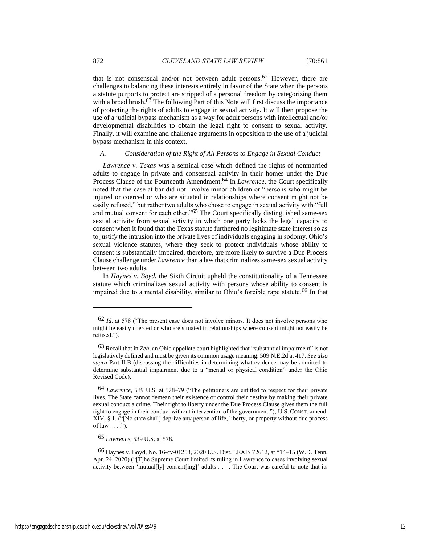that is not consensual and/or not between adult persons.<sup>62</sup> However, there are challenges to balancing these interests entirely in favor of the State when the persons a statute purports to protect are stripped of a personal freedom by categorizing them with a broad brush.<sup>63</sup> The following Part of this Note will first discuss the importance of protecting the rights of adults to engage in sexual activity. It will then propose the use of a judicial bypass mechanism as a way for adult persons with intellectual and/or developmental disabilities to obtain the legal right to consent to sexual activity. Finally, it will examine and challenge arguments in opposition to the use of a judicial bypass mechanism in this context.

#### *A. Consideration of the Right of All Persons to Engage in Sexual Conduct*

*Lawrence v. Texas* was a seminal case which defined the rights of nonmarried adults to engage in private and consensual activity in their homes under the Due Process Clause of the Fourteenth Amendment.<sup>64</sup> In *Lawrence*, the Court specifically noted that the case at bar did not involve minor children or "persons who might be injured or coerced or who are situated in relationships where consent might not be easily refused," but rather two adults who chose to engage in sexual activity with "full and mutual consent for each other."65 The Court specifically distinguished same-sex sexual activity from sexual activity in which one party lacks the legal capacity to consent when it found that the Texas statute furthered no legitimate state interest so as to justify the intrusion into the private lives of individuals engaging in sodomy. Ohio's sexual violence statutes, where they seek to protect individuals whose ability to consent is substantially impaired, therefore, are more likely to survive a Due Process Clause challenge under *Lawrence* than a law that criminalizes same-sex sexual activity between two adults*.*

In *Haynes v*. *Boyd*, the Sixth Circuit upheld the constitutionality of a Tennessee statute which criminalizes sexual activity with persons whose ability to consent is impaired due to a mental disability, similar to Ohio's forcible rape statute.66 In that

65 *Lawrence*, 539 U.S. at 578.

<sup>62</sup> *Id.* at 578 ("The present case does not involve minors. It does not involve persons who might be easily coerced or who are situated in relationships where consent might not easily be refused.").

<sup>63</sup> Recall that in *Zeh*, an Ohio appellate court highlighted that "substantial impairment" is not legislatively defined and must be given its common usage meaning. 509 N.E.2d at 417. *See also supra* Part II.B (discussing the difficulties in determining what evidence may be admitted to determine substantial impairment due to a "mental or physical condition" under the Ohio Revised Code).

<sup>64</sup> *Lawrence*, 539 U.S. at 578–79 ("The petitioners are entitled to respect for their private lives. The State cannot demean their existence or control their destiny by making their private sexual conduct a crime. Their right to liberty under the Due Process Clause gives them the full right to engage in their conduct without intervention of the government."); U.S. CONST. amend. XIV, § 1. ("[No state shall] deprive any person of life, liberty, or property without due process of law  $\dots$ .").

<sup>66</sup> Haynes v. Boyd, No. 16-cv-01258, 2020 U.S. Dist. LEXIS 72612, at \*14–15 (W.D. Tenn. Apr. 24, 2020) ("[T]he Supreme Court limited its ruling in Lawrence to cases involving sexual activity between 'mutual[ly] consent[ing]' adults . . . . The Court was careful to note that its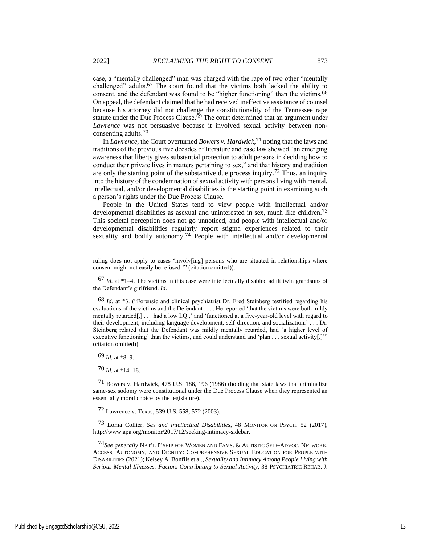case, a "mentally challenged" man was charged with the rape of two other "mentally challenged" adults.67 The court found that the victims both lacked the ability to consent, and the defendant was found to be "higher functioning" than the victims.<sup>68</sup> On appeal, the defendant claimed that he had received ineffective assistance of counsel because his attorney did not challenge the constitutionality of the Tennessee rape statute under the Due Process Clause.<sup>69</sup> The court determined that an argument under *Lawrence* was not persuasive because it involved sexual activity between nonconsenting adults.70

In *Lawrence*, the Court overturned *Bowers v. Hardwick*, 71 noting that the laws and traditions of the previous five decades of literature and case law showed "an emerging awareness that liberty gives substantial protection to adult persons in deciding how to conduct their private lives in matters pertaining to sex," and that history and tradition are only the starting point of the substantive due process inquiry.<sup>72</sup> Thus, an inquiry into the history of the condemnation of sexual activity with persons living with mental, intellectual, and/or developmental disabilities is the starting point in examining such a person's rights under the Due Process Clause.

People in the United States tend to view people with intellectual and/or developmental disabilities as asexual and uninterested in sex, much like children.<sup>73</sup> This societal perception does not go unnoticed, and people with intellectual and/or developmental disabilities regularly report stigma experiences related to their sexuality and bodily autonomy.<sup>74</sup> People with intellectual and/or developmental

 $69$  *Id.* at \*8–9.

 $70$  *Id.* at \*14–16.

71 Bowers v. Hardwick, 478 U.S. 186, 196 (1986) (holding that state laws that criminalize same-sex sodomy were constitutional under the Due Process Clause when they represented an essentially moral choice by the legislature).

72 Lawrence v. Texas, 539 U.S. 558, 572 (2003).

73 Lorna Collier, *Sex and Intellectual Disabilities*, 48 MONITOR ON PSYCH. 52 (2017), http://www.apa.org/monitor/2017/12/seeking-intimacy-sidebar.

74*See generally* NAT'L P'SHIP FOR WOMEN AND FAMS. & AUTISTIC SELF-ADVOC. NETWORK, ACCESS, AUTONOMY, AND DIGNITY: COMPREHENSIVE SEXUAL EDUCATION FOR PEOPLE WITH DISABILITIES (2021); Kelsey A. Bonfils et al., *Sexuality and Intimacy Among People Living with Serious Mental Illnesses: Factors Contributing to Sexual Activity*, 38 PSYCHIATRIC REHAB. J.

ruling does not apply to cases 'involv[ing] persons who are situated in relationships where consent might not easily be refused.'" (citation omitted)).

<sup>67</sup> *Id.* at \*1–4. The victims in this case were intellectually disabled adult twin grandsons of the Defendant's girlfriend. *Id.*

<sup>68</sup> *Id.* at \*3. ("Forensic and clinical psychiatrist Dr. Fred Steinberg testified regarding his evaluations of the victims and the Defendant . . . . He reported 'that the victims were both mildy mentally retarded[,] . . . had a low I.Q.,' and 'functioned at a five-year-old level with regard to their development, including language development, self-direction, and socialization.' . . . Dr. Steinberg related that the Defendant was mildly mentally retarded, had 'a higher level of executive functioning' than the victims, and could understand and 'plan . . . sexual activity[.]'" (citation omitted)).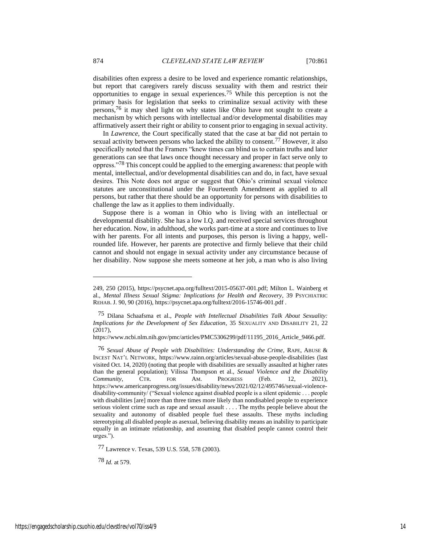disabilities often express a desire to be loved and experience romantic relationships, but report that caregivers rarely discuss sexuality with them and restrict their opportunities to engage in sexual experiences.75 While this perception is not the primary basis for legislation that seeks to criminalize sexual activity with these persons,76 it may shed light on why states like Ohio have not sought to create a mechanism by which persons with intellectual and/or developmental disabilities may affirmatively assert their right or ability to consent prior to engaging in sexual activity.

In *Lawrence*, the Court specifically stated that the case at bar did not pertain to sexual activity between persons who lacked the ability to consent.77 However, it also specifically noted that the Framers "knew times can blind us to certain truths and later generations can see that laws once thought necessary and proper in fact serve only to oppress."78 This concept could be applied to the emerging awareness: that people with mental, intellectual, and/or developmental disabilities can and do, in fact, have sexual desires. This Note does not argue or suggest that Ohio's criminal sexual violence statutes are unconstitutional under the Fourteenth Amendment as applied to all persons, but rather that there should be an opportunity for persons with disabilities to challenge the law as it applies to them individually.

Suppose there is a woman in Ohio who is living with an intellectual or developmental disability. She has a low I.Q. and received special services throughout her education. Now, in adulthood, she works part-time at a store and continues to live with her parents. For all intents and purposes, this person is living a happy, wellrounded life. However, her parents are protective and firmly believe that their child cannot and should not engage in sexual activity under any circumstance because of her disability. Now suppose she meets someone at her job, a man who is also living

78 *Id.* at 579.

<sup>249, 250 (2015),</sup> https://psycnet.apa.org/fulltext/2015-05637-001.pdf; Milton L. Wainberg et al., *Mental Illness Sexual Stigma: Implications for Health and Recovery*, 39 PSYCHIATRIC REHAB. J. 90, 90 (2016), https://psycnet.apa.org/fulltext/2016-15746-001.pdf .

<sup>75</sup> Dilana Schaafsma et al., *People with Intellectual Disabilities Talk About Sexuality: Implications for the Development of Sex Education*, 35 SEXUALITY AND DISABILITY 21, 22 (2017),

https://www.ncbi.nlm.nih.gov/pmc/articles/PMC5306299/pdf/11195\_2016\_Article\_9466.pdf.

<sup>76</sup> *Sexual Abuse of People with Disabilities: Understanding the Crime*, RAPE, ABUSE & INCEST NAT'L NETWORK, https://www.rainn.org/articles/sexual-abuse-people-disabilities (last visited Oct. 14, 2020) (noting that people with disabilities are sexually assaulted at higher rates than the general population); Vilissa Thompson et al., *Sexual Violence and the Disability Community*, CTR. FOR AM. PROGRESS (Feb. 12, 2021), https://www.americanprogress.org/issues/disability/news/2021/02/12/495746/sexual-violencedisability-community/ ("Sexual violence against disabled people is a silent epidemic . . . people with disabilities [are] more than three times more likely than nondisabled people to experience serious violent crime such as rape and sexual assault . . . . The myths people believe about the sexuality and autonomy of disabled people fuel these assaults. These myths including stereotyping all disabled people as asexual, believing disability means an inability to participate equally in an intimate relationship, and assuming that disabled people cannot control their urges.").

<sup>77</sup> Lawrence v. Texas, 539 U.S. 558, 578 (2003).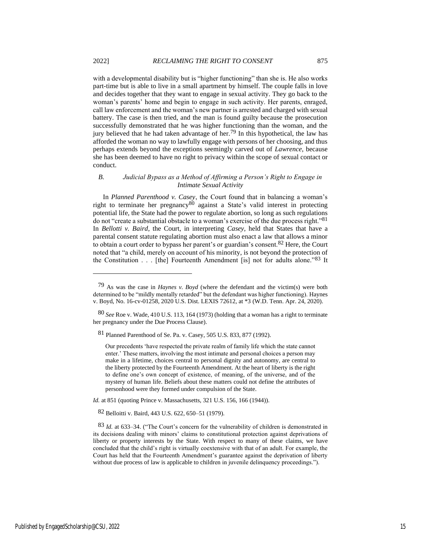with a developmental disability but is "higher functioning" than she is. He also works part-time but is able to live in a small apartment by himself. The couple falls in love and decides together that they want to engage in sexual activity. They go back to the woman's parents' home and begin to engage in such activity. Her parents, enraged, call law enforcement and the woman's new partner is arrested and charged with sexual battery. The case is then tried, and the man is found guilty because the prosecution successfully demonstrated that he was higher functioning than the woman, and the jury believed that he had taken advantage of her.<sup>79</sup> In this hypothetical, the law has afforded the woman no way to lawfully engage with persons of her choosing, and thus perhaps extends beyond the exceptions seemingly carved out of *Lawrence*, because she has been deemed to have no right to privacy within the scope of sexual contact or conduct.

#### *B. Judicial Bypass as a Method of Affirming a Person's Right to Engage in Intimate Sexual Activity*

In *Planned Parenthood v. Casey*, the Court found that in balancing a woman's right to terminate her pregnancy<sup>80</sup> against a State's valid interest in protecting potential life, the State had the power to regulate abortion, so long as such regulations do not "create a substantial obstacle to a woman's exercise of the due process right."81 In *Bellotti v. Baird*, the Court, in interpreting *Casey,* held that States that have a parental consent statute regulating abortion must also enact a law that allows a minor to obtain a court order to bypass her parent's or guardian's consent.<sup>82</sup> Here, the Court noted that "a child, merely on account of his minority, is not beyond the protection of the Constitution . . . [the] Fourteenth Amendment [is] not for adults alone."83 It

*Id.* at 851 (quoting Prince v. Massachusetts, 321 U.S. 156, 166 (1944)).

82 Belloitti v. Baird, 443 U.S. 622, 650–51 (1979).

<sup>79</sup> As was the case in *Haynes v. Boyd* (where the defendant and the victim(s) were both determined to be "mildly mentally retarded" but the defendant was higher functioning). Haynes v. Boyd, No. 16-cv-01258, 2020 U.S. Dist. LEXIS 72612, at \*3 (W.D. Tenn. Apr. 24, 2020).

<sup>80</sup> *See* Roe v. Wade, 410 U.S. 113, 164 (1973) (holding that a woman has a right to terminate her pregnancy under the Due Process Clause).

<sup>81</sup> Planned Parenthood of Se. Pa. v. Casey, 505 U.S. 833, 877 (1992).

Our precedents 'have respected the private realm of family life which the state cannot enter.' These matters, involving the most intimate and personal choices a person may make in a lifetime, choices central to personal dignity and autonomy, are central to the liberty protected by the Fourteenth Amendment. At the heart of liberty is the right to define one's own concept of existence, of meaning, of the universe, and of the mystery of human life. Beliefs about these matters could not define the attributes of personhood were they formed under compulsion of the State.

<sup>83</sup> *Id.* at 633–34. ("The Court's concern for the vulnerability of children is demonstrated in its decisions dealing with minors' claims to constitutional protection against deprivations of liberty or property interests by the State. With respect to many of these claims, we have concluded that the child's right is virtually coextensive with that of an adult. For example, the Court has held that the Fourteenth Amendment's guarantee against the deprivation of liberty without due process of law is applicable to children in juvenile delinquency proceedings.").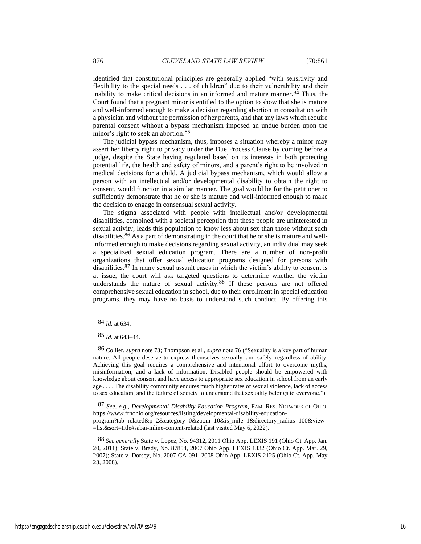identified that constitutional principles are generally applied "with sensitivity and flexibility to the special needs . . . of children" due to their vulnerability and their inability to make critical decisions in an informed and mature manner.<sup>84</sup> Thus, the Court found that a pregnant minor is entitled to the option to show that she is mature and well-informed enough to make a decision regarding abortion in consultation with a physician and without the permission of her parents, and that any laws which require parental consent without a bypass mechanism imposed an undue burden upon the minor's right to seek an abortion.85

The judicial bypass mechanism, thus, imposes a situation whereby a minor may assert her liberty right to privacy under the Due Process Clause by coming before a judge, despite the State having regulated based on its interests in both protecting potential life, the health and safety of minors, and a parent's right to be involved in medical decisions for a child. A judicial bypass mechanism, which would allow a person with an intellectual and/or developmental disability to obtain the right to consent, would function in a similar manner. The goal would be for the petitioner to sufficiently demonstrate that he or she is mature and well-informed enough to make the decision to engage in consensual sexual activity.

The stigma associated with people with intellectual and/or developmental disabilities, combined with a societal perception that these people are uninterested in sexual activity, leads this population to know less about sex than those without such disabilities.<sup>86</sup> As a part of demonstrating to the court that he or she is mature and wellinformed enough to make decisions regarding sexual activity, an individual may seek a specialized sexual education program. There are a number of non-profit organizations that offer sexual education programs designed for persons with disabilities.87 In many sexual assault cases in which the victim's ability to consent is at issue, the court will ask targeted questions to determine whether the victim understands the nature of sexual activity.88 If these persons are not offered comprehensive sexual education in school, due to their enrollment in special education programs, they may have no basis to understand such conduct. By offering this

85 *Id.* at 643–44.

86 Collier, *supra* note 73; Thompson et al., *supra* note 76 ("Sexuality is a key part of human nature: All people deserve to express themselves sexually–and safely–regardless of ability. Achieving this goal requires a comprehensive and intentional effort to overcome myths, misinformation, and a lack of information. Disabled people should be empowered with knowledge about consent and have access to appropriate sex education in school from an early age . . . . The disability community endures much higher rates of sexual violence, lack of access to sex education, and the failure of society to understand that sexuality belongs to everyone.").

87 *See, e.g.*, *Developmental Disability Education Program*, FAM. RES. NETWORK OF OHIO, https://www.frnohio.org/resources/listing/developmental-disability-educationprogram?tab=related&p=2&category=0&zoom=10&is\_mile=1&directory\_radius=100&view =list&sort=title#sabai-inline-content-related (last visited May 6, 2022).

88 *See generally* State v. Lopez, No. 94312, 2011 Ohio App. LEXIS 191 (Ohio Ct. App. Jan. 20, 2011); State v. Brady, No. 87854, 2007 Ohio App. LEXIS 1332 (Ohio Ct. App. Mar. 29, 2007); State v. Dorsey, No. 2007-CA-091, 2008 Ohio App. LEXIS 2125 (Ohio Ct. App. May 23, 2008).

<sup>84</sup> *Id.* at 634.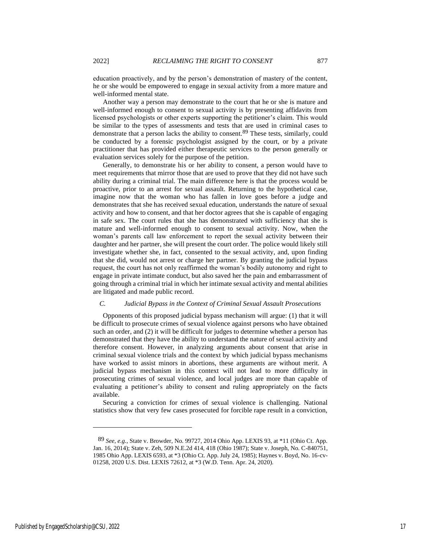education proactively, and by the person's demonstration of mastery of the content, he or she would be empowered to engage in sexual activity from a more mature and well-informed mental state.

Another way a person may demonstrate to the court that he or she is mature and well-informed enough to consent to sexual activity is by presenting affidavits from licensed psychologists or other experts supporting the petitioner's claim. This would be similar to the types of assessments and tests that are used in criminal cases to demonstrate that a person lacks the ability to consent.89 These tests, similarly, could be conducted by a forensic psychologist assigned by the court, or by a private practitioner that has provided either therapeutic services to the person generally or evaluation services solely for the purpose of the petition.

Generally, to demonstrate his or her ability to consent, a person would have to meet requirements that mirror those that are used to prove that they did not have such ability during a criminal trial. The main difference here is that the process would be proactive, prior to an arrest for sexual assault. Returning to the hypothetical case, imagine now that the woman who has fallen in love goes before a judge and demonstrates that she has received sexual education, understands the nature of sexual activity and how to consent, and that her doctor agrees that she is capable of engaging in safe sex. The court rules that she has demonstrated with sufficiency that she is mature and well-informed enough to consent to sexual activity. Now, when the woman's parents call law enforcement to report the sexual activity between their daughter and her partner, she will present the court order. The police would likely still investigate whether she, in fact, consented to the sexual activity, and, upon finding that she did, would not arrest or charge her partner. By granting the judicial bypass request, the court has not only reaffirmed the woman's bodily autonomy and right to engage in private intimate conduct, but also saved her the pain and embarrassment of going through a criminal trial in which her intimate sexual activity and mental abilities are litigated and made public record.

#### *C. Judicial Bypass in the Context of Criminal Sexual Assault Prosecutions*

Opponents of this proposed judicial bypass mechanism will argue: (1) that it will be difficult to prosecute crimes of sexual violence against persons who have obtained such an order, and (2) it will be difficult for judges to determine whether a person has demonstrated that they have the ability to understand the nature of sexual activity and therefore consent. However, in analyzing arguments about consent that arise in criminal sexual violence trials and the context by which judicial bypass mechanisms have worked to assist minors in abortions, these arguments are without merit. A judicial bypass mechanism in this context will not lead to more difficulty in prosecuting crimes of sexual violence, and local judges are more than capable of evaluating a petitioner's ability to consent and ruling appropriately on the facts available.

Securing a conviction for crimes of sexual violence is challenging. National statistics show that very few cases prosecuted for forcible rape result in a conviction,

<sup>89</sup> *See, e.g.*, State v. Browder, No. 99727, 2014 Ohio App. LEXIS 93, at \*11 (Ohio Ct. App. Jan. 16, 2014); State v. Zeh, 509 N.E.2d 414, 418 (Ohio 1987); State v. Joseph, No. C-840751, 1985 Ohio App. LEXIS 6593, at \*3 (Ohio Ct. App. July 24, 1985); Haynes v. Boyd, No. 16-cv-01258, 2020 U.S. Dist. LEXIS 72612, at \*3 (W.D. Tenn. Apr. 24, 2020).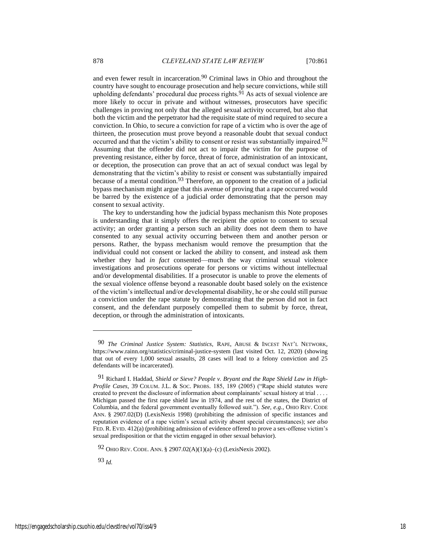and even fewer result in incarceration.90 Criminal laws in Ohio and throughout the country have sought to encourage prosecution and help secure convictions, while still upholding defendants' procedural due process rights. $91$  As acts of sexual violence are more likely to occur in private and without witnesses, prosecutors have specific challenges in proving not only that the alleged sexual activity occurred, but also that both the victim and the perpetrator had the requisite state of mind required to secure a conviction. In Ohio, to secure a conviction for rape of a victim who is over the age of thirteen, the prosecution must prove beyond a reasonable doubt that sexual conduct occurred and that the victim's ability to consent or resist was substantially impaired.<sup>92</sup> Assuming that the offender did not act to impair the victim for the purpose of preventing resistance, either by force, threat of force, administration of an intoxicant, or deception, the prosecution can prove that an act of sexual conduct was legal by demonstrating that the victim's ability to resist or consent was substantially impaired because of a mental condition.<sup>93</sup> Therefore, an opponent to the creation of a judicial bypass mechanism might argue that this avenue of proving that a rape occurred would be barred by the existence of a judicial order demonstrating that the person may consent to sexual activity.

The key to understanding how the judicial bypass mechanism this Note proposes is understanding that it simply offers the recipient the *option* to consent to sexual activity; an order granting a person such an ability does not deem them to have consented to any sexual activity occurring between them and another person or persons. Rather, the bypass mechanism would remove the presumption that the individual could not consent or lacked the ability to consent, and instead ask them whether they had *in fact* consented—much the way criminal sexual violence investigations and prosecutions operate for persons or victims without intellectual and/or developmental disabilities. If a prosecutor is unable to prove the elements of the sexual violence offense beyond a reasonable doubt based solely on the existence of the victim's intellectual and/or developmental disability, he or she could still pursue a conviction under the rape statute by demonstrating that the person did not in fact consent, and the defendant purposely compelled them to submit by force, threat, deception, or through the administration of intoxicants.

93 *Id.*

<sup>90</sup> *The Criminal Justice System: Statistics*, RAPE, ABUSE & INCEST NAT'L NETWORK, https://www.rainn.org/statistics/criminal-justice-system (last visited Oct. 12, 2020) (showing that out of every 1,000 sexual assaults, 28 cases will lead to a felony conviction and 25 defendants will be incarcerated).

<sup>91</sup> Richard I. Haddad, *Shield or Sieve? People v. Bryant and the Rape Shield Law in High-Profile Cases*, 39 COLUM. J.L. & SOC. PROBS. 185, 189 (2005) ("Rape shield statutes were created to prevent the disclosure of information about complainants' sexual history at trial . . . . Michigan passed the first rape shield law in 1974, and the rest of the states, the District of Columbia, and the federal government eventually followed suit."). *See, e.g.*, OHIO REV. CODE ANN. § 2907.02(D) (LexisNexis 1998) (prohibiting the admission of specific instances and reputation evidence of a rape victim's sexual activity absent special circumstances); s*ee also*  FED. R. EVID. 412(a) (prohibiting admission of evidence offered to prove a sex-offense victim's sexual predisposition or that the victim engaged in other sexual behavior).

<sup>92</sup> OHIO REV. CODE. ANN. § 2907.02(A)(1)(a)–(c) (LexisNexis 2002).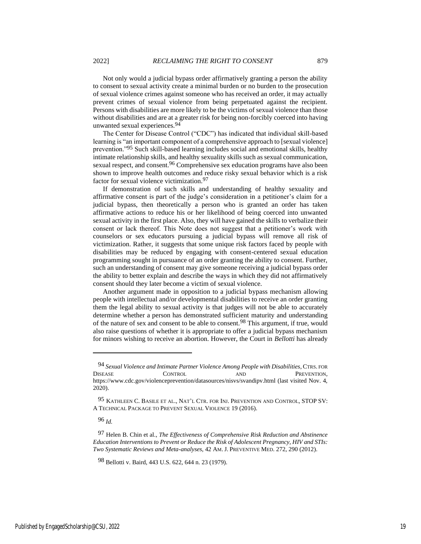Not only would a judicial bypass order affirmatively granting a person the ability to consent to sexual activity create a minimal burden or no burden to the prosecution of sexual violence crimes against someone who has received an order, it may actually prevent crimes of sexual violence from being perpetuated against the recipient. Persons with disabilities are more likely to be the victims of sexual violence than those without disabilities and are at a greater risk for being non-forcibly coerced into having unwanted sexual experiences.94

The Center for Disease Control ("CDC") has indicated that individual skill-based learning is "an important component of a comprehensive approach to [sexual violence] prevention."95 Such skill-based learning includes social and emotional skills, healthy intimate relationship skills, and healthy sexuality skills such as sexual communication, sexual respect, and consent.<sup>96</sup> Comprehensive sex education programs have also been shown to improve health outcomes and reduce risky sexual behavior which is a risk factor for sexual violence victimization.97

If demonstration of such skills and understanding of healthy sexuality and affirmative consent is part of the judge's consideration in a petitioner's claim for a judicial bypass, then theoretically a person who is granted an order has taken affirmative actions to reduce his or her likelihood of being coerced into unwanted sexual activity in the first place. Also, they will have gained the skills to verbalize their consent or lack thereof. This Note does not suggest that a petitioner's work with counselors or sex educators pursuing a judicial bypass will remove all risk of victimization. Rather, it suggests that some unique risk factors faced by people with disabilities may be reduced by engaging with consent-centered sexual education programming sought in pursuance of an order granting the ability to consent. Further, such an understanding of consent may give someone receiving a judicial bypass order the ability to better explain and describe the ways in which they did not affirmatively consent should they later become a victim of sexual violence.

Another argument made in opposition to a judicial bypass mechanism allowing people with intellectual and/or developmental disabilities to receive an order granting them the legal ability to sexual activity is that judges will not be able to accurately determine whether a person has demonstrated sufficient maturity and understanding of the nature of sex and consent to be able to consent.98 This argument, if true, would also raise questions of whether it is appropriate to offer a judicial bypass mechanism for minors wishing to receive an abortion. However, the Court in *Bellotti* has already

96 *Id.*

<sup>94</sup> *Sexual Violence and Intimate Partner Violence Among People with Disabilities*, CTRS. FOR DISEASE CONTROL AND PREVENTION, https://www.cdc.gov/violenceprevention/datasources/nisvs/svandipv.html (last visited Nov. 4, 2020).

<sup>95</sup> KATHLEEN C. BASILE ET AL., NAT'L CTR. FOR INJ. PREVENTION AND CONTROL, STOP SV: A TECHNICAL PACKAGE TO PREVENT SEXUAL VIOLENCE 19 (2016).

<sup>97</sup> Helen B. Chin et al., *The Effectiveness of Comprehensive Risk Reduction and Abstinence Education Interventions to Prevent or Reduce the Risk of Adolescent Pregnancy, HIV and STIs: Two Systematic Reviews and Meta-analyses*, 42 AM.J. PREVENTIVE MED. 272, 290 (2012).

<sup>98</sup> Bellotti v. Baird, 443 U.S. 622, 644 n. 23 (1979).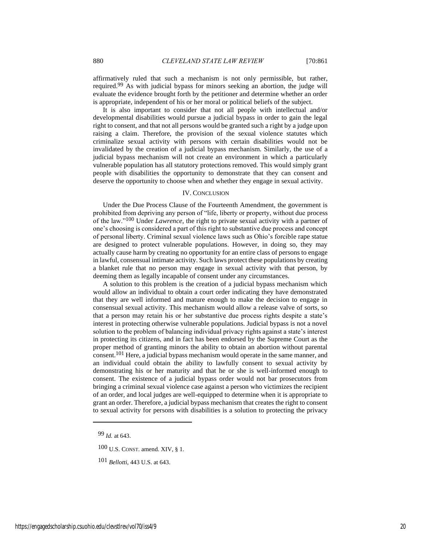affirmatively ruled that such a mechanism is not only permissible, but rather, required.99 As with judicial bypass for minors seeking an abortion, the judge will evaluate the evidence brought forth by the petitioner and determine whether an order is appropriate, independent of his or her moral or political beliefs of the subject.

It is also important to consider that not all people with intellectual and/or developmental disabilities would pursue a judicial bypass in order to gain the legal right to consent, and that not all persons would be granted such a right by a judge upon raising a claim. Therefore, the provision of the sexual violence statutes which criminalize sexual activity with persons with certain disabilities would not be invalidated by the creation of a judicial bypass mechanism. Similarly, the use of a judicial bypass mechanism will not create an environment in which a particularly vulnerable population has all statutory protections removed. This would simply grant people with disabilities the opportunity to demonstrate that they can consent and deserve the opportunity to choose when and whether they engage in sexual activity.

#### IV. CONCLUSION

Under the Due Process Clause of the Fourteenth Amendment, the government is prohibited from depriving any person of "life, liberty or property, without due process of the law."100 Under *Lawrence*, the right to private sexual activity with a partner of one's choosing is considered a part of this right to substantive due process and concept of personal liberty. Criminal sexual violence laws such as Ohio's forcible rape statue are designed to protect vulnerable populations. However, in doing so, they may actually cause harm by creating no opportunity for an entire class of persons to engage in lawful, consensual intimate activity. Such laws protect these populations by creating a blanket rule that no person may engage in sexual activity with that person, by deeming them as legally incapable of consent under any circumstances.

A solution to this problem is the creation of a judicial bypass mechanism which would allow an individual to obtain a court order indicating they have demonstrated that they are well informed and mature enough to make the decision to engage in consensual sexual activity. This mechanism would allow a release valve of sorts, so that a person may retain his or her substantive due process rights despite a state's interest in protecting otherwise vulnerable populations. Judicial bypass is not a novel solution to the problem of balancing individual privacy rights against a state's interest in protecting its citizens, and in fact has been endorsed by the Supreme Court as the proper method of granting minors the ability to obtain an abortion without parental consent.101 Here, a judicial bypass mechanism would operate in the same manner, and an individual could obtain the ability to lawfully consent to sexual activity by demonstrating his or her maturity and that he or she is well-informed enough to consent. The existence of a judicial bypass order would not bar prosecutors from bringing a criminal sexual violence case against a person who victimizes the recipient of an order, and local judges are well-equipped to determine when it is appropriate to grant an order. Therefore, a judicial bypass mechanism that creates the right to consent to sexual activity for persons with disabilities is a solution to protecting the privacy

99 *Id.* at 643.

100 U.S. CONST. amend. XIV, § 1.

101 *Bellotti*, 443 U.S. at 643.